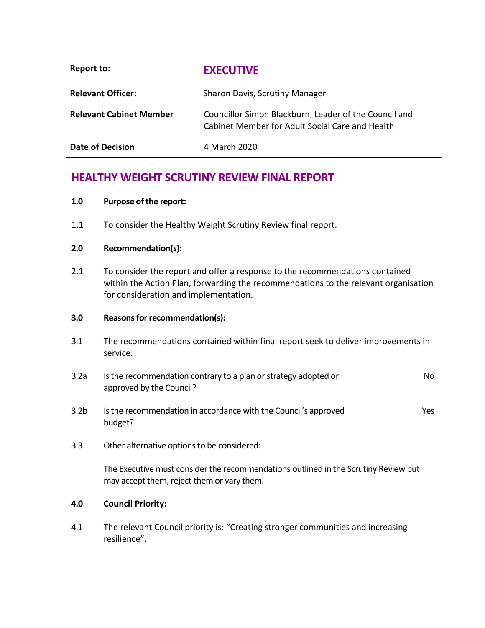| Report to:                     | <b>EXECUTIVE</b>                                                                                         |
|--------------------------------|----------------------------------------------------------------------------------------------------------|
| <b>Relevant Officer:</b>       | Sharon Davis, Scrutiny Manager                                                                           |
| <b>Relevant Cabinet Member</b> | Councillor Simon Blackburn, Leader of the Council and<br>Cabinet Member for Adult Social Care and Health |
| Date of Decision               | 4 March 2020                                                                                             |

# **HEALTHY WEIGHT SCRUTINY REVIEW FINAL REPORT**

#### **1.0 Purpose of the report:**

1.1 To consider the Healthy Weight Scrutiny Review final report.

#### **2.0 Recommendation(s):**

2.1 To consider the report and offer a response to the recommendations contained within the Action Plan, forwarding the recommendations to the relevant organisation for consideration and implementation.

#### **3.0 Reasons for recommendation(s):**

- 3.1 The recommendations contained within final report seek to deliver improvements in service.
- 3.2a Is the recommendation contrary to a plan or strategy adopted or approved by the Council? No
- 3.2b Is the recommendation in accordance with the Council's approved budget? Yes
- 3.3 Other alternative options to be considered:

The Executive must consider the recommendations outlined in the Scrutiny Review but may accept them, reject them or vary them.

#### **4.0 Council Priority:**

4.1 The relevant Council priority is: "Creating stronger communities and increasing resilience".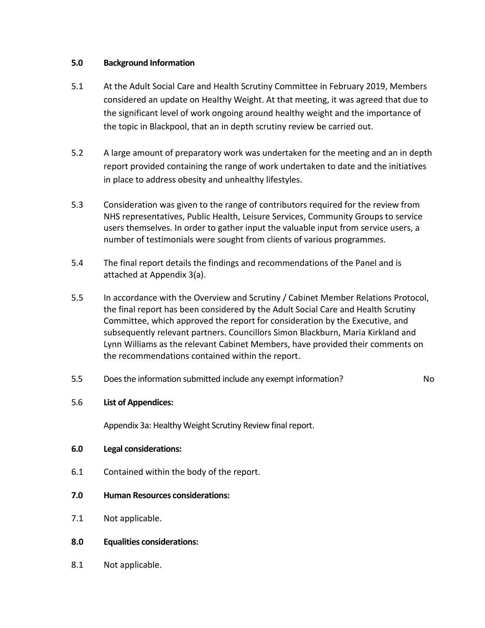#### **5.0 Background Information**

- 5.1 At the Adult Social Care and Health Scrutiny Committee in February 2019, Members considered an update on Healthy Weight. At that meeting, it was agreed that due to the significant level of work ongoing around healthy weight and the importance of the topic in Blackpool, that an in depth scrutiny review be carried out.
- 5.2 A large amount of preparatory work was undertaken for the meeting and an in depth report provided containing the range of work undertaken to date and the initiatives in place to address obesity and unhealthy lifestyles.
- 5.3 Consideration was given to the range of contributors required for the review from NHS representatives, Public Health, Leisure Services, Community Groups to service users themselves. In order to gather input the valuable input from service users, a number of testimonials were sought from clients of various programmes.
- 5.4 The final report details the findings and recommendations of the Panel and is attached at Appendix 3(a).
- 5.5 In accordance with the Overview and Scrutiny / Cabinet Member Relations Protocol, the final report has been considered by the Adult Social Care and Health Scrutiny Committee, which approved the report for consideration by the Executive, and subsequently relevant partners. Councillors Simon Blackburn, Maria Kirkland and Lynn Williams as the relevant Cabinet Members, have provided their comments on the recommendations contained within the report.
- 5.5 Does the information submitted include any exempt information? No

# 5.6 **List of Appendices:**

Appendix 3a: Healthy Weight Scrutiny Review final report.

# **6.0 Legal considerations:**

- 6.1 Contained within the body of the report.
- **7.0 Human Resources considerations:**
- 7.1 Not applicable.
- **8.0 Equalities considerations:**
- 8.1 Not applicable.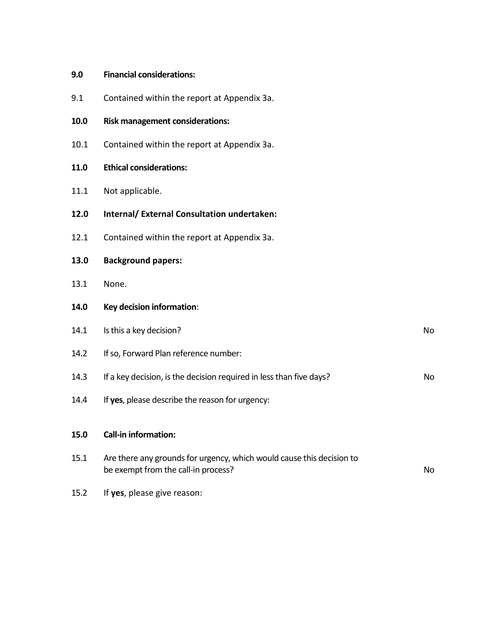| <b>Financial considerations:</b><br>9.0 |  |
|-----------------------------------------|--|
|-----------------------------------------|--|

## **10.0 Risk management considerations:**

10.1 Contained within the report at Appendix 3a.

#### **11.0 Ethical considerations:**

11.1 Not applicable.

#### **12.0 Internal/ External Consultation undertaken:**

12.1 Contained within the report at Appendix 3a.

#### **13.0 Background papers:**

13.1 None.

#### **14.0 Key decision information**:

# 14.1 Is this a key decision? No 14.2 If so, Forward Plan reference number: 14.3 If a key decision, is the decision required in less than five days? 14.4 If **yes**, please describe the reason for urgency: **15.0 Call-in information:** 15.1 Are there any grounds for urgency, which would cause this decision to be exempt from the call-in process? No

15.2 If **yes**, please give reason: